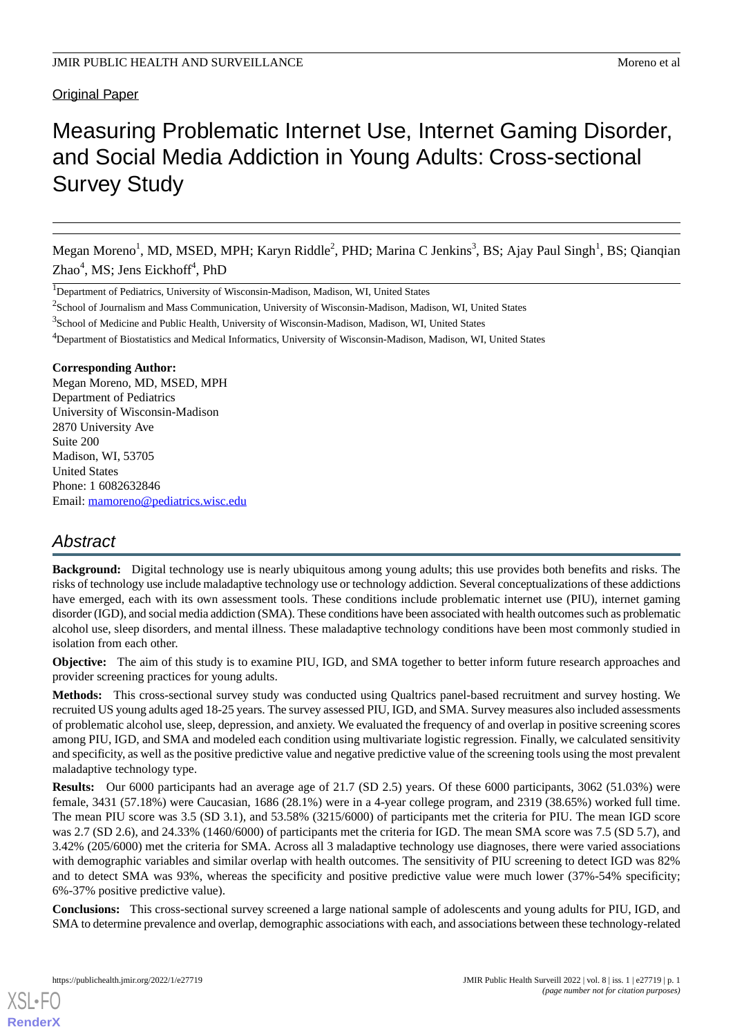# Original Paper

# Measuring Problematic Internet Use, Internet Gaming Disorder, and Social Media Addiction in Young Adults: Cross-sectional Survey Study

Megan Moreno<sup>1</sup>, MD, MSED, MPH; Karyn Riddle<sup>2</sup>, PHD; Marina C Jenkins<sup>3</sup>, BS; Ajay Paul Singh<sup>1</sup>, BS; Qianqian Zhao<sup>4</sup>, MS; Jens Eickhoff<sup>4</sup>, PhD

<sup>1</sup>Department of Pediatrics, University of Wisconsin-Madison, Madison, WI, United States

<sup>2</sup>School of Journalism and Mass Communication, University of Wisconsin-Madison, Madison, WI, United States

<sup>3</sup>School of Medicine and Public Health, University of Wisconsin-Madison, Madison, WI, United States

<sup>4</sup>Department of Biostatistics and Medical Informatics, University of Wisconsin-Madison, Madison, WI, United States

# **Corresponding Author:**

Megan Moreno, MD, MSED, MPH Department of Pediatrics University of Wisconsin-Madison 2870 University Ave Suite 200 Madison, WI, 53705 United States Phone: 1 6082632846 Email: [mamoreno@pediatrics.wisc.edu](mailto:mamoreno@pediatrics.wisc.edu)

# *Abstract*

**Background:** Digital technology use is nearly ubiquitous among young adults; this use provides both benefits and risks. The risks of technology use include maladaptive technology use or technology addiction. Several conceptualizations of these addictions have emerged, each with its own assessment tools. These conditions include problematic internet use (PIU), internet gaming disorder (IGD), and social media addiction (SMA). These conditions have been associated with health outcomes such as problematic alcohol use, sleep disorders, and mental illness. These maladaptive technology conditions have been most commonly studied in isolation from each other.

**Objective:** The aim of this study is to examine PIU, IGD, and SMA together to better inform future research approaches and provider screening practices for young adults.

**Methods:** This cross-sectional survey study was conducted using Qualtrics panel-based recruitment and survey hosting. We recruited US young adults aged 18-25 years. The survey assessed PIU, IGD, and SMA. Survey measures also included assessments of problematic alcohol use, sleep, depression, and anxiety. We evaluated the frequency of and overlap in positive screening scores among PIU, IGD, and SMA and modeled each condition using multivariate logistic regression. Finally, we calculated sensitivity and specificity, as well as the positive predictive value and negative predictive value of the screening tools using the most prevalent maladaptive technology type.

**Results:** Our 6000 participants had an average age of 21.7 (SD 2.5) years. Of these 6000 participants, 3062 (51.03%) were female, 3431 (57.18%) were Caucasian, 1686 (28.1%) were in a 4-year college program, and 2319 (38.65%) worked full time. The mean PIU score was 3.5 (SD 3.1), and 53.58% (3215/6000) of participants met the criteria for PIU. The mean IGD score was 2.7 (SD 2.6), and 24.33% (1460/6000) of participants met the criteria for IGD. The mean SMA score was 7.5 (SD 5.7), and 3.42% (205/6000) met the criteria for SMA. Across all 3 maladaptive technology use diagnoses, there were varied associations with demographic variables and similar overlap with health outcomes. The sensitivity of PIU screening to detect IGD was 82% and to detect SMA was 93%, whereas the specificity and positive predictive value were much lower (37%-54% specificity; 6%-37% positive predictive value).

**Conclusions:** This cross-sectional survey screened a large national sample of adolescents and young adults for PIU, IGD, and SMA to determine prevalence and overlap, demographic associations with each, and associations between these technology-related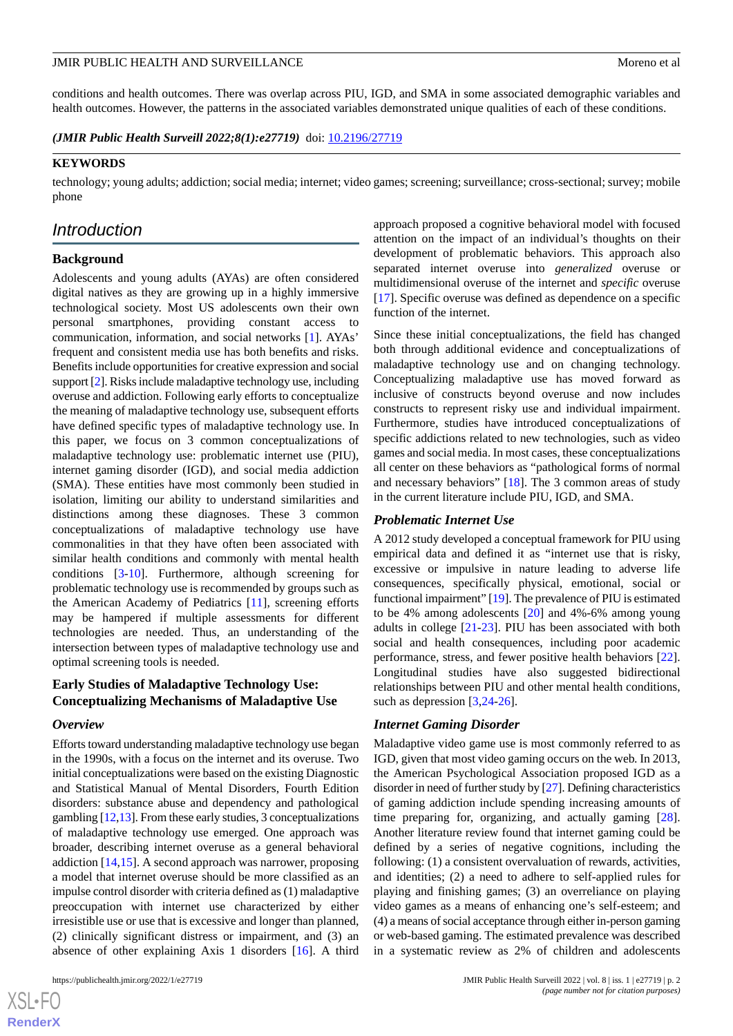conditions and health outcomes. There was overlap across PIU, IGD, and SMA in some associated demographic variables and health outcomes. However, the patterns in the associated variables demonstrated unique qualities of each of these conditions.

*(JMIR Public Health Surveill 2022;8(1):e27719)* doi:  $10.2196/27719$ 

### **KEYWORDS**

technology; young adults; addiction; social media; internet; video games; screening; surveillance; cross-sectional; survey; mobile phone

# *Introduction*

### **Background**

Adolescents and young adults (AYAs) are often considered digital natives as they are growing up in a highly immersive technological society. Most US adolescents own their own personal smartphones, providing constant access to communication, information, and social networks [[1\]](#page-8-0). AYAs' frequent and consistent media use has both benefits and risks. Benefits include opportunities for creative expression and social support [[2\]](#page-8-1). Risks include maladaptive technology use, including overuse and addiction. Following early efforts to conceptualize the meaning of maladaptive technology use, subsequent efforts have defined specific types of maladaptive technology use. In this paper, we focus on 3 common conceptualizations of maladaptive technology use: problematic internet use (PIU), internet gaming disorder (IGD), and social media addiction (SMA). These entities have most commonly been studied in isolation, limiting our ability to understand similarities and distinctions among these diagnoses. These 3 common conceptualizations of maladaptive technology use have commonalities in that they have often been associated with similar health conditions and commonly with mental health conditions [\[3](#page-9-0)[-10](#page-9-1)]. Furthermore, although screening for problematic technology use is recommended by groups such as the American Academy of Pediatrics [[11\]](#page-9-2), screening efforts may be hampered if multiple assessments for different technologies are needed. Thus, an understanding of the intersection between types of maladaptive technology use and optimal screening tools is needed.

# **Early Studies of Maladaptive Technology Use: Conceptualizing Mechanisms of Maladaptive Use**

#### *Overview*

Efforts toward understanding maladaptive technology use began in the 1990s, with a focus on the internet and its overuse. Two initial conceptualizations were based on the existing Diagnostic and Statistical Manual of Mental Disorders, Fourth Edition disorders: substance abuse and dependency and pathological gambling [[12](#page-9-3),[13\]](#page-9-4). From these early studies, 3 conceptualizations of maladaptive technology use emerged. One approach was broader, describing internet overuse as a general behavioral addiction [\[14](#page-9-5),[15\]](#page-9-6). A second approach was narrower, proposing a model that internet overuse should be more classified as an impulse control disorder with criteria defined as (1) maladaptive preoccupation with internet use characterized by either irresistible use or use that is excessive and longer than planned, (2) clinically significant distress or impairment, and (3) an absence of other explaining Axis 1 disorders [[16\]](#page-9-7). A third approach proposed a cognitive behavioral model with focused attention on the impact of an individual's thoughts on their development of problematic behaviors. This approach also separated internet overuse into *generalized* overuse or multidimensional overuse of the internet and *specific* overuse [[17\]](#page-9-8). Specific overuse was defined as dependence on a specific function of the internet.

Since these initial conceptualizations, the field has changed both through additional evidence and conceptualizations of maladaptive technology use and on changing technology. Conceptualizing maladaptive use has moved forward as inclusive of constructs beyond overuse and now includes constructs to represent risky use and individual impairment. Furthermore, studies have introduced conceptualizations of specific addictions related to new technologies, such as video games and social media. In most cases, these conceptualizations all center on these behaviors as "pathological forms of normal and necessary behaviors" [\[18](#page-9-9)]. The 3 common areas of study in the current literature include PIU, IGD, and SMA.

### *Problematic Internet Use*

A 2012 study developed a conceptual framework for PIU using empirical data and defined it as "internet use that is risky, excessive or impulsive in nature leading to adverse life consequences, specifically physical, emotional, social or functional impairment" [\[19](#page-9-10)]. The prevalence of PIU is estimated to be 4% among adolescents [[20\]](#page-9-11) and 4%-6% among young adults in college [[21-](#page-9-12)[23](#page-9-13)]. PIU has been associated with both social and health consequences, including poor academic performance, stress, and fewer positive health behaviors [[22\]](#page-9-14). Longitudinal studies have also suggested bidirectional relationships between PIU and other mental health conditions, such as depression [[3](#page-9-0)[,24](#page-9-15)-[26\]](#page-9-16).

#### *Internet Gaming Disorder*

Maladaptive video game use is most commonly referred to as IGD, given that most video gaming occurs on the web. In 2013, the American Psychological Association proposed IGD as a disorder in need of further study by [[27](#page-9-17)]. Defining characteristics of gaming addiction include spending increasing amounts of time preparing for, organizing, and actually gaming [[28\]](#page-10-0). Another literature review found that internet gaming could be defined by a series of negative cognitions, including the following: (1) a consistent overvaluation of rewards, activities, and identities; (2) a need to adhere to self-applied rules for playing and finishing games; (3) an overreliance on playing video games as a means of enhancing one's self-esteem; and (4) a means of social acceptance through either in-person gaming or web-based gaming. The estimated prevalence was described in a systematic review as 2% of children and adolescents

 $XSI - F($ **[RenderX](http://www.renderx.com/)**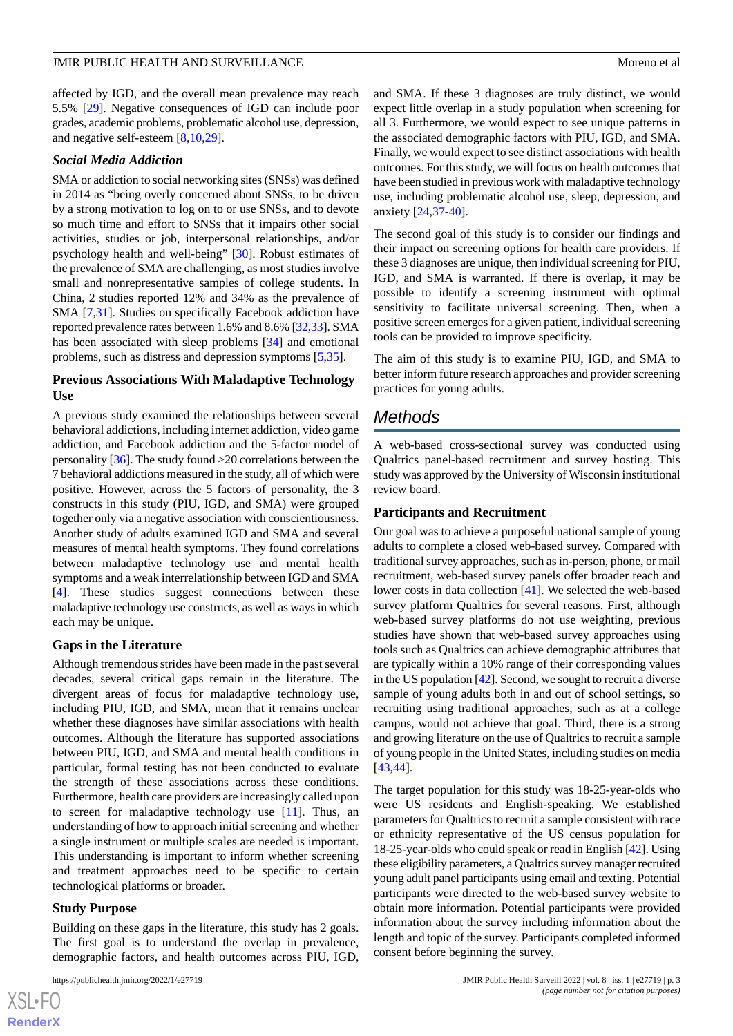affected by IGD, and the overall mean prevalence may reach 5.5% [\[29](#page-10-1)]. Negative consequences of IGD can include poor grades, academic problems, problematic alcohol use, depression, and negative self-esteem [[8,](#page-9-18)[10](#page-9-1),[29\]](#page-10-1).

### *Social Media Addiction*

SMA or addiction to social networking sites (SNSs) was defined in 2014 as "being overly concerned about SNSs, to be driven by a strong motivation to log on to or use SNSs, and to devote so much time and effort to SNSs that it impairs other social activities, studies or job, interpersonal relationships, and/or psychology health and well-being" [[30\]](#page-10-2). Robust estimates of the prevalence of SMA are challenging, as most studies involve small and nonrepresentative samples of college students. In China, 2 studies reported 12% and 34% as the prevalence of SMA [\[7,](#page-9-19)[31](#page-10-3)]. Studies on specifically Facebook addiction have reported prevalence rates between 1.6% and 8.6% [\[32](#page-10-4),[33](#page-10-5)]. SMA has been associated with sleep problems [[34\]](#page-10-6) and emotional problems, such as distress and depression symptoms [\[5](#page-9-20),[35\]](#page-10-7).

### **Previous Associations With Maladaptive Technology Use**

A previous study examined the relationships between several behavioral addictions, including internet addiction, video game addiction, and Facebook addiction and the 5-factor model of personality [\[36](#page-10-8)]. The study found >20 correlations between the 7 behavioral addictions measured in the study, all of which were positive. However, across the 5 factors of personality, the 3 constructs in this study (PIU, IGD, and SMA) were grouped together only via a negative association with conscientiousness. Another study of adults examined IGD and SMA and several measures of mental health symptoms. They found correlations between maladaptive technology use and mental health symptoms and a weak interrelationship between IGD and SMA [[4\]](#page-9-21). These studies suggest connections between these maladaptive technology use constructs, as well as ways in which each may be unique.

#### **Gaps in the Literature**

Although tremendous strides have been made in the past several decades, several critical gaps remain in the literature. The divergent areas of focus for maladaptive technology use, including PIU, IGD, and SMA, mean that it remains unclear whether these diagnoses have similar associations with health outcomes. Although the literature has supported associations between PIU, IGD, and SMA and mental health conditions in particular, formal testing has not been conducted to evaluate the strength of these associations across these conditions. Furthermore, health care providers are increasingly called upon to screen for maladaptive technology use [\[11](#page-9-2)]. Thus, an understanding of how to approach initial screening and whether a single instrument or multiple scales are needed is important. This understanding is important to inform whether screening and treatment approaches need to be specific to certain technological platforms or broader.

#### **Study Purpose**

Building on these gaps in the literature, this study has 2 goals. The first goal is to understand the overlap in prevalence, demographic factors, and health outcomes across PIU, IGD,

and SMA. If these 3 diagnoses are truly distinct, we would expect little overlap in a study population when screening for all 3. Furthermore, we would expect to see unique patterns in the associated demographic factors with PIU, IGD, and SMA. Finally, we would expect to see distinct associations with health outcomes. For this study, we will focus on health outcomes that have been studied in previous work with maladaptive technology use, including problematic alcohol use, sleep, depression, and anxiety [[24](#page-9-15)[,37](#page-10-9)-[40\]](#page-10-10).

The second goal of this study is to consider our findings and their impact on screening options for health care providers. If these 3 diagnoses are unique, then individual screening for PIU, IGD, and SMA is warranted. If there is overlap, it may be possible to identify a screening instrument with optimal sensitivity to facilitate universal screening. Then, when a positive screen emerges for a given patient, individual screening tools can be provided to improve specificity.

The aim of this study is to examine PIU, IGD, and SMA to better inform future research approaches and provider screening practices for young adults.

# *Methods*

A web-based cross-sectional survey was conducted using Qualtrics panel-based recruitment and survey hosting. This study was approved by the University of Wisconsin institutional review board.

### **Participants and Recruitment**

Our goal was to achieve a purposeful national sample of young adults to complete a closed web-based survey. Compared with traditional survey approaches, such as in-person, phone, or mail recruitment, web-based survey panels offer broader reach and lower costs in data collection [\[41](#page-10-11)]. We selected the web-based survey platform Qualtrics for several reasons. First, although web-based survey platforms do not use weighting, previous studies have shown that web-based survey approaches using tools such as Qualtrics can achieve demographic attributes that are typically within a 10% range of their corresponding values in the US population [\[42\]](#page-10-12). Second, we sought to recruit a diverse sample of young adults both in and out of school settings, so recruiting using traditional approaches, such as at a college campus, would not achieve that goal. Third, there is a strong and growing literature on the use of Qualtrics to recruit a sample of young people in the United States, including studies on media [[43,](#page-10-13)[44\]](#page-10-14).

The target population for this study was 18-25-year-olds who were US residents and English-speaking. We established parameters for Qualtrics to recruit a sample consistent with race or ethnicity representative of the US census population for 18-25-year-olds who could speak or read in English [\[42](#page-10-12)]. Using these eligibility parameters, a Qualtrics survey manager recruited young adult panel participants using email and texting. Potential participants were directed to the web-based survey website to obtain more information. Potential participants were provided information about the survey including information about the length and topic of the survey. Participants completed informed consent before beginning the survey.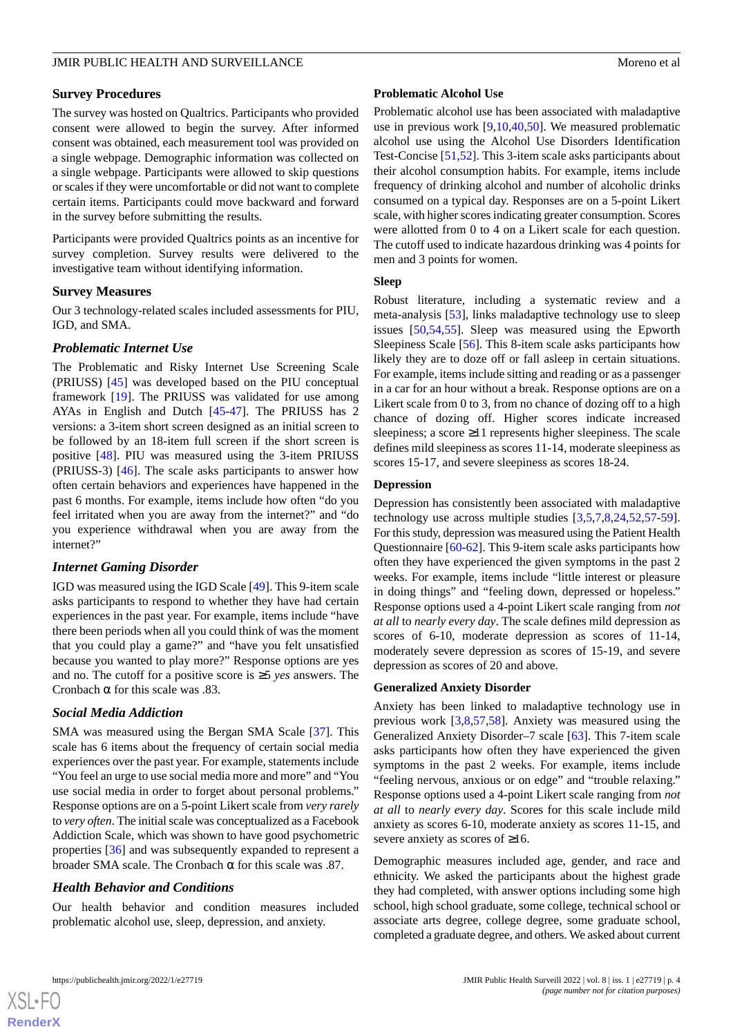# **Survey Procedures**

The survey was hosted on Qualtrics. Participants who provided consent were allowed to begin the survey. After informed consent was obtained, each measurement tool was provided on a single webpage. Demographic information was collected on a single webpage. Participants were allowed to skip questions or scales if they were uncomfortable or did not want to complete certain items. Participants could move backward and forward in the survey before submitting the results.

Participants were provided Qualtrics points as an incentive for survey completion. Survey results were delivered to the investigative team without identifying information.

# **Survey Measures**

Our 3 technology-related scales included assessments for PIU, IGD, and SMA.

# *Problematic Internet Use*

The Problematic and Risky Internet Use Screening Scale (PRIUSS) [\[45](#page-10-15)] was developed based on the PIU conceptual framework [[19\]](#page-9-10). The PRIUSS was validated for use among AYAs in English and Dutch [\[45](#page-10-15)[-47](#page-10-16)]. The PRIUSS has 2 versions: a 3-item short screen designed as an initial screen to be followed by an 18-item full screen if the short screen is positive [[48\]](#page-10-17). PIU was measured using the 3-item PRIUSS (PRIUSS-3) [\[46](#page-10-18)]. The scale asks participants to answer how often certain behaviors and experiences have happened in the past 6 months. For example, items include how often "do you feel irritated when you are away from the internet?" and "do you experience withdrawal when you are away from the internet?"

# *Internet Gaming Disorder*

IGD was measured using the IGD Scale [[49\]](#page-10-19). This 9-item scale asks participants to respond to whether they have had certain experiences in the past year. For example, items include "have there been periods when all you could think of was the moment that you could play a game?" and "have you felt unsatisfied because you wanted to play more?" Response options are yes and no. The cutoff for a positive score is ≥5 *yes* answers. The Cronbach  $\alpha$  for this scale was .83.

# *Social Media Addiction*

SMA was measured using the Bergan SMA Scale [[37\]](#page-10-9). This scale has 6 items about the frequency of certain social media experiences over the past year. For example, statements include "You feel an urge to use social media more and more" and "You use social media in order to forget about personal problems." Response options are on a 5-point Likert scale from *very rarely* to *very often*. The initial scale was conceptualized as a Facebook Addiction Scale, which was shown to have good psychometric properties [[36\]](#page-10-8) and was subsequently expanded to represent a broader SMA scale. The Cronbach α for this scale was .87.

# *Health Behavior and Conditions*

Our health behavior and condition measures included problematic alcohol use, sleep, depression, and anxiety.

# **Problematic Alcohol Use**

Problematic alcohol use has been associated with maladaptive use in previous work [[9,](#page-9-22)[10](#page-9-1),[40,](#page-10-10)[50](#page-11-0)]. We measured problematic alcohol use using the Alcohol Use Disorders Identification Test-Concise [\[51](#page-11-1),[52\]](#page-11-2). This 3-item scale asks participants about their alcohol consumption habits. For example, items include frequency of drinking alcohol and number of alcoholic drinks consumed on a typical day. Responses are on a 5-point Likert scale, with higher scores indicating greater consumption. Scores were allotted from 0 to 4 on a Likert scale for each question. The cutoff used to indicate hazardous drinking was 4 points for men and 3 points for women.

# **Sleep**

Robust literature, including a systematic review and a meta-analysis [[53\]](#page-11-3), links maladaptive technology use to sleep issues [\[50](#page-11-0),[54,](#page-11-4)[55](#page-11-5)]. Sleep was measured using the Epworth Sleepiness Scale [\[56](#page-11-6)]. This 8-item scale asks participants how likely they are to doze off or fall asleep in certain situations. For example, items include sitting and reading or as a passenger in a car for an hour without a break. Response options are on a Likert scale from 0 to 3, from no chance of dozing off to a high chance of dozing off. Higher scores indicate increased sleepiness; a score ≥11 represents higher sleepiness. The scale defines mild sleepiness as scores 11-14, moderate sleepiness as scores 15-17, and severe sleepiness as scores 18-24.

# **Depression**

Depression has consistently been associated with maladaptive technology use across multiple studies [[3,](#page-9-0)[5](#page-9-20),[7,](#page-9-19)[8](#page-9-18),[24,](#page-9-15)[52](#page-11-2),[57-](#page-11-7)[59\]](#page-11-8). For this study, depression was measured using the Patient Health Questionnaire [\[60](#page-11-9)-[62\]](#page-11-10). This 9-item scale asks participants how often they have experienced the given symptoms in the past 2 weeks. For example, items include "little interest or pleasure in doing things" and "feeling down, depressed or hopeless." Response options used a 4-point Likert scale ranging from *not at all* to *nearly every day*. The scale defines mild depression as scores of 6-10, moderate depression as scores of 11-14, moderately severe depression as scores of 15-19, and severe depression as scores of 20 and above.

# **Generalized Anxiety Disorder**

Anxiety has been linked to maladaptive technology use in previous work [[3,](#page-9-0)[8](#page-9-18),[57,](#page-11-7)[58](#page-11-11)]. Anxiety was measured using the Generalized Anxiety Disorder–7 scale [\[63](#page-11-12)]. This 7-item scale asks participants how often they have experienced the given symptoms in the past 2 weeks. For example, items include "feeling nervous, anxious or on edge" and "trouble relaxing." Response options used a 4-point Likert scale ranging from *not at all* to *nearly every day*. Scores for this scale include mild anxiety as scores 6-10, moderate anxiety as scores 11-15, and severe anxiety as scores of ≥16.

Demographic measures included age, gender, and race and ethnicity. We asked the participants about the highest grade they had completed, with answer options including some high school, high school graduate, some college, technical school or associate arts degree, college degree, some graduate school, completed a graduate degree, and others. We asked about current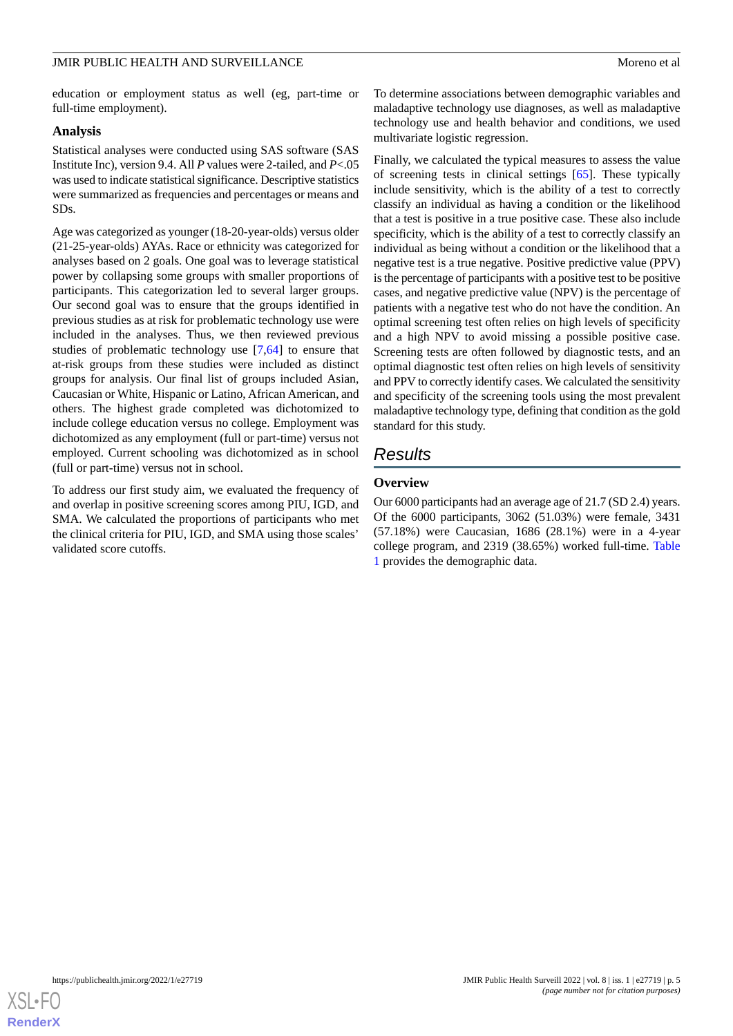education or employment status as well (eg, part-time or full-time employment).

### **Analysis**

Statistical analyses were conducted using SAS software (SAS Institute Inc), version 9.4. All *P* values were 2-tailed, and *P*<.05 was used to indicate statistical significance. Descriptive statistics were summarized as frequencies and percentages or means and SDs.

Age was categorized as younger (18-20-year-olds) versus older (21-25-year-olds) AYAs. Race or ethnicity was categorized for analyses based on 2 goals. One goal was to leverage statistical power by collapsing some groups with smaller proportions of participants. This categorization led to several larger groups. Our second goal was to ensure that the groups identified in previous studies as at risk for problematic technology use were included in the analyses. Thus, we then reviewed previous studies of problematic technology use [\[7](#page-9-19)[,64](#page-11-13)] to ensure that at-risk groups from these studies were included as distinct groups for analysis. Our final list of groups included Asian, Caucasian or White, Hispanic or Latino, African American, and others. The highest grade completed was dichotomized to include college education versus no college. Employment was dichotomized as any employment (full or part-time) versus not employed. Current schooling was dichotomized as in school (full or part-time) versus not in school.

To address our first study aim, we evaluated the frequency of and overlap in positive screening scores among PIU, IGD, and SMA. We calculated the proportions of participants who met the clinical criteria for PIU, IGD, and SMA using those scales' validated score cutoffs.

To determine associations between demographic variables and maladaptive technology use diagnoses, as well as maladaptive technology use and health behavior and conditions, we used multivariate logistic regression.

Finally, we calculated the typical measures to assess the value of screening tests in clinical settings [\[65](#page-11-14)]. These typically include sensitivity, which is the ability of a test to correctly classify an individual as having a condition or the likelihood that a test is positive in a true positive case. These also include specificity, which is the ability of a test to correctly classify an individual as being without a condition or the likelihood that a negative test is a true negative. Positive predictive value (PPV) is the percentage of participants with a positive test to be positive cases, and negative predictive value (NPV) is the percentage of patients with a negative test who do not have the condition. An optimal screening test often relies on high levels of specificity and a high NPV to avoid missing a possible positive case. Screening tests are often followed by diagnostic tests, and an optimal diagnostic test often relies on high levels of sensitivity and PPV to correctly identify cases. We calculated the sensitivity and specificity of the screening tools using the most prevalent maladaptive technology type, defining that condition as the gold standard for this study.

# *Results*

# **Overview**

Our 6000 participants had an average age of 21.7 (SD 2.4) years. Of the 6000 participants, 3062 (51.03%) were female, 3431 (57.18%) were Caucasian, 1686 (28.1%) were in a 4-year college program, and 2319 (38.65%) worked full-time. [Table](#page-5-0) [1](#page-5-0) provides the demographic data.

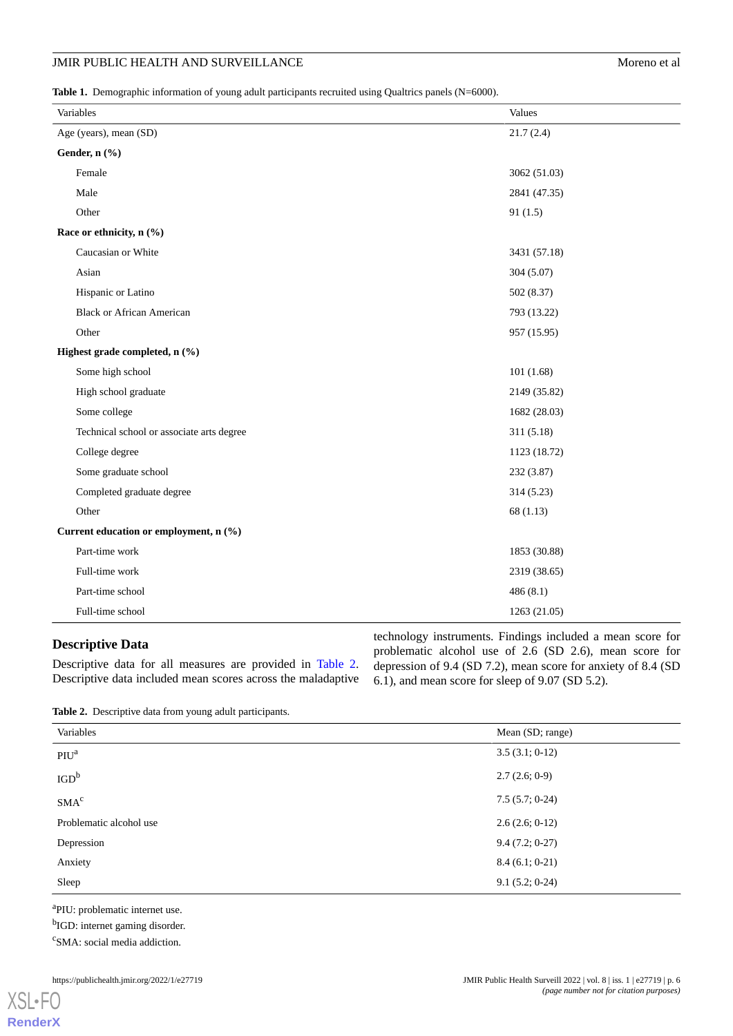# JMIR PUBLIC HEALTH AND SURVEILLANCE Moreno et al.

<span id="page-5-0"></span>**Table 1.** Demographic information of young adult participants recruited using Qualtrics panels (N=6000).

| Variables                                 | Values       |
|-------------------------------------------|--------------|
| Age (years), mean (SD)                    | 21.7(2.4)    |
| Gender, n (%)                             |              |
| Female                                    | 3062 (51.03) |
| Male                                      | 2841 (47.35) |
| Other                                     | 91(1.5)      |
| Race or ethnicity, n (%)                  |              |
| Caucasian or White                        | 3431 (57.18) |
| Asian                                     | 304 (5.07)   |
| Hispanic or Latino                        | 502 (8.37)   |
| <b>Black or African American</b>          | 793 (13.22)  |
| Other                                     | 957 (15.95)  |
| Highest grade completed, n (%)            |              |
| Some high school                          | 101(1.68)    |
| High school graduate                      | 2149 (35.82) |
| Some college                              | 1682 (28.03) |
| Technical school or associate arts degree | 311(5.18)    |
| College degree                            | 1123 (18.72) |
| Some graduate school                      | 232 (3.87)   |
| Completed graduate degree                 | 314 (5.23)   |
| Other                                     | 68 (1.13)    |
| Current education or employment, n (%)    |              |
| Part-time work                            | 1853 (30.88) |
| Full-time work                            | 2319 (38.65) |
| Part-time school                          | 486(8.1)     |
| Full-time school                          | 1263 (21.05) |

# <span id="page-5-1"></span>**Descriptive Data**

Descriptive data for all measures are provided in [Table 2](#page-5-1). Descriptive data included mean scores across the maladaptive technology instruments. Findings included a mean score for problematic alcohol use of 2.6 (SD 2.6), mean score for depression of 9.4 (SD 7.2), mean score for anxiety of 8.4 (SD 6.1), and mean score for sleep of 9.07 (SD 5.2).

**Table 2.** Descriptive data from young adult participants.

| Variables               | Mean (SD; range) |
|-------------------------|------------------|
| $P{\rm IU}^{\rm a}$     | 3.5(3.1; 0.12)   |
| IGD <sup>b</sup>        | 2.7(2.6; 0.9)    |
| SMA <sup>c</sup>        | $7.5(5.7; 0-24)$ |
| Problematic alcohol use | 2.6(2.6; 0.12)   |
| Depression              | $9.4(7.2; 0-27)$ |
| Anxiety                 | $8.4(6.1; 0-21)$ |
| Sleep                   | $9.1(5.2; 0-24)$ |

<sup>a</sup>PIU: problematic internet use.

<sup>b</sup>IGD: internet gaming disorder.

<sup>c</sup>SMA: social media addiction.

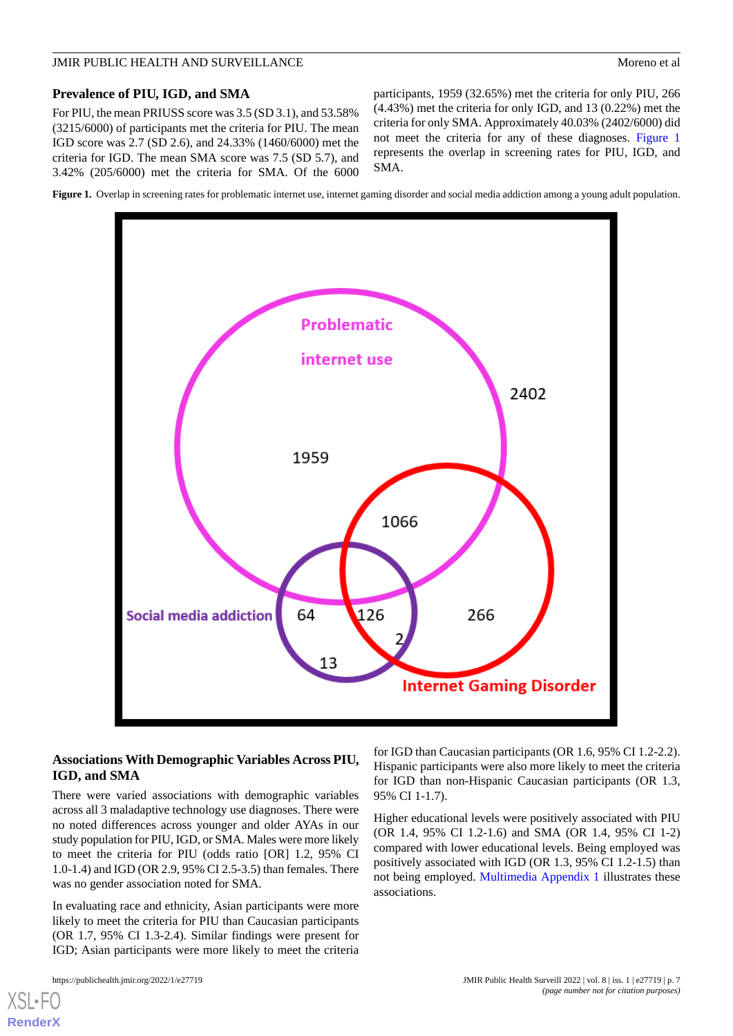### **Prevalence of PIU, IGD, and SMA**

For PIU, the mean PRIUSS score was 3.5 (SD 3.1), and 53.58% (3215/6000) of participants met the criteria for PIU. The mean IGD score was 2.7 (SD 2.6), and 24.33% (1460/6000) met the criteria for IGD. The mean SMA score was 7.5 (SD 5.7), and 3.42% (205/6000) met the criteria for SMA. Of the 6000 participants, 1959 (32.65%) met the criteria for only PIU, 266 (4.43%) met the criteria for only IGD, and 13 (0.22%) met the criteria for only SMA. Approximately 40.03% (2402/6000) did not meet the criteria for any of these diagnoses. [Figure 1](#page-6-0) represents the overlap in screening rates for PIU, IGD, and SMA.

<span id="page-6-0"></span>**Figure 1.** Overlap in screening rates for problematic internet use, internet gaming disorder and social media addiction among a young adult population.



# **Associations With Demographic Variables Across PIU, IGD, and SMA**

There were varied associations with demographic variables across all 3 maladaptive technology use diagnoses. There were no noted differences across younger and older AYAs in our study population for PIU, IGD, or SMA. Males were more likely to meet the criteria for PIU (odds ratio [OR] 1.2, 95% CI 1.0-1.4) and IGD (OR 2.9, 95% CI 2.5-3.5) than females. There was no gender association noted for SMA.

In evaluating race and ethnicity, Asian participants were more likely to meet the criteria for PIU than Caucasian participants (OR 1.7, 95% CI 1.3-2.4). Similar findings were present for IGD; Asian participants were more likely to meet the criteria

for IGD than Caucasian participants (OR 1.6, 95% CI 1.2-2.2). Hispanic participants were also more likely to meet the criteria for IGD than non-Hispanic Caucasian participants (OR 1.3, 95% CI 1-1.7).

Higher educational levels were positively associated with PIU (OR 1.4, 95% CI 1.2-1.6) and SMA (OR 1.4, 95% CI 1-2) compared with lower educational levels. Being employed was positively associated with IGD (OR 1.3, 95% CI 1.2-1.5) than not being employed. [Multimedia Appendix 1](#page-8-2) illustrates these associations.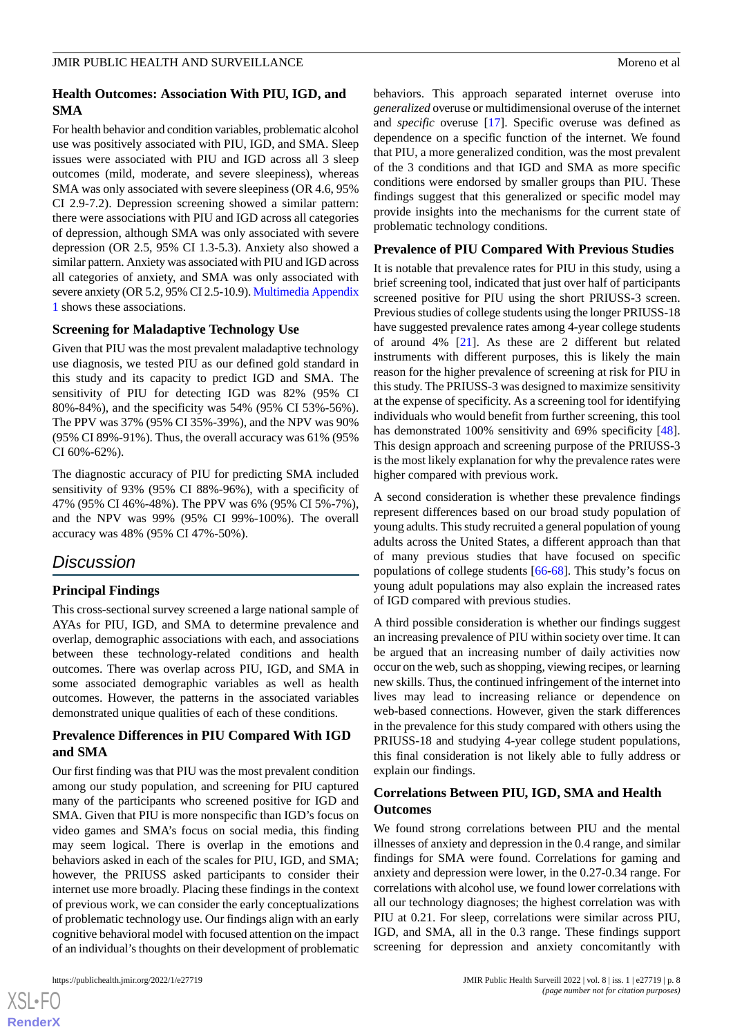# **Health Outcomes: Association With PIU, IGD, and SMA**

For health behavior and condition variables, problematic alcohol use was positively associated with PIU, IGD, and SMA. Sleep issues were associated with PIU and IGD across all 3 sleep outcomes (mild, moderate, and severe sleepiness), whereas SMA was only associated with severe sleepiness (OR 4.6, 95% CI 2.9-7.2). Depression screening showed a similar pattern: there were associations with PIU and IGD across all categories of depression, although SMA was only associated with severe depression (OR 2.5, 95% CI 1.3-5.3). Anxiety also showed a similar pattern. Anxiety was associated with PIU and IGD across all categories of anxiety, and SMA was only associated with severe anxiety (OR 5.2, 95% CI 2.5-10.9). [Multimedia Appendix](#page-8-2) [1](#page-8-2) shows these associations.

# **Screening for Maladaptive Technology Use**

Given that PIU was the most prevalent maladaptive technology use diagnosis, we tested PIU as our defined gold standard in this study and its capacity to predict IGD and SMA. The sensitivity of PIU for detecting IGD was 82% (95% CI 80%-84%), and the specificity was 54% (95% CI 53%-56%). The PPV was 37% (95% CI 35%-39%), and the NPV was 90% (95% CI 89%-91%). Thus, the overall accuracy was 61% (95% CI 60%-62%).

The diagnostic accuracy of PIU for predicting SMA included sensitivity of 93% (95% CI 88%-96%), with a specificity of 47% (95% CI 46%-48%). The PPV was 6% (95% CI 5%-7%), and the NPV was 99% (95% CI 99%-100%). The overall accuracy was 48% (95% CI 47%-50%).

# *Discussion*

# **Principal Findings**

This cross-sectional survey screened a large national sample of AYAs for PIU, IGD, and SMA to determine prevalence and overlap, demographic associations with each, and associations between these technology-related conditions and health outcomes. There was overlap across PIU, IGD, and SMA in some associated demographic variables as well as health outcomes. However, the patterns in the associated variables demonstrated unique qualities of each of these conditions.

# **Prevalence Differences in PIU Compared With IGD and SMA**

Our first finding was that PIU was the most prevalent condition among our study population, and screening for PIU captured many of the participants who screened positive for IGD and SMA. Given that PIU is more nonspecific than IGD's focus on video games and SMA's focus on social media, this finding may seem logical. There is overlap in the emotions and behaviors asked in each of the scales for PIU, IGD, and SMA; however, the PRIUSS asked participants to consider their internet use more broadly. Placing these findings in the context of previous work, we can consider the early conceptualizations of problematic technology use. Our findings align with an early cognitive behavioral model with focused attention on the impact of an individual's thoughts on their development of problematic

behaviors. This approach separated internet overuse into *generalized* overuse or multidimensional overuse of the internet and *specific* overuse [[17\]](#page-9-8). Specific overuse was defined as dependence on a specific function of the internet. We found that PIU, a more generalized condition, was the most prevalent of the 3 conditions and that IGD and SMA as more specific conditions were endorsed by smaller groups than PIU. These findings suggest that this generalized or specific model may provide insights into the mechanisms for the current state of problematic technology conditions.

### **Prevalence of PIU Compared With Previous Studies**

It is notable that prevalence rates for PIU in this study, using a brief screening tool, indicated that just over half of participants screened positive for PIU using the short PRIUSS-3 screen. Previous studies of college students using the longer PRIUSS-18 have suggested prevalence rates among 4-year college students of around 4% [[21\]](#page-9-12). As these are 2 different but related instruments with different purposes, this is likely the main reason for the higher prevalence of screening at risk for PIU in this study. The PRIUSS-3 was designed to maximize sensitivity at the expense of specificity. As a screening tool for identifying individuals who would benefit from further screening, this tool has demonstrated 100% sensitivity and 69% specificity [[48\]](#page-10-17). This design approach and screening purpose of the PRIUSS-3 is the most likely explanation for why the prevalence rates were higher compared with previous work.

A second consideration is whether these prevalence findings represent differences based on our broad study population of young adults. This study recruited a general population of young adults across the United States, a different approach than that of many previous studies that have focused on specific populations of college students [[66-](#page-11-15)[68\]](#page-11-16). This study's focus on young adult populations may also explain the increased rates of IGD compared with previous studies.

A third possible consideration is whether our findings suggest an increasing prevalence of PIU within society over time. It can be argued that an increasing number of daily activities now occur on the web, such as shopping, viewing recipes, or learning new skills. Thus, the continued infringement of the internet into lives may lead to increasing reliance or dependence on web-based connections. However, given the stark differences in the prevalence for this study compared with others using the PRIUSS-18 and studying 4-year college student populations, this final consideration is not likely able to fully address or explain our findings.

# **Correlations Between PIU, IGD, SMA and Health Outcomes**

We found strong correlations between PIU and the mental illnesses of anxiety and depression in the 0.4 range, and similar findings for SMA were found. Correlations for gaming and anxiety and depression were lower, in the 0.27-0.34 range. For correlations with alcohol use, we found lower correlations with all our technology diagnoses; the highest correlation was with PIU at 0.21. For sleep, correlations were similar across PIU, IGD, and SMA, all in the 0.3 range. These findings support screening for depression and anxiety concomitantly with

```
XS\cdotFC
RenderX
```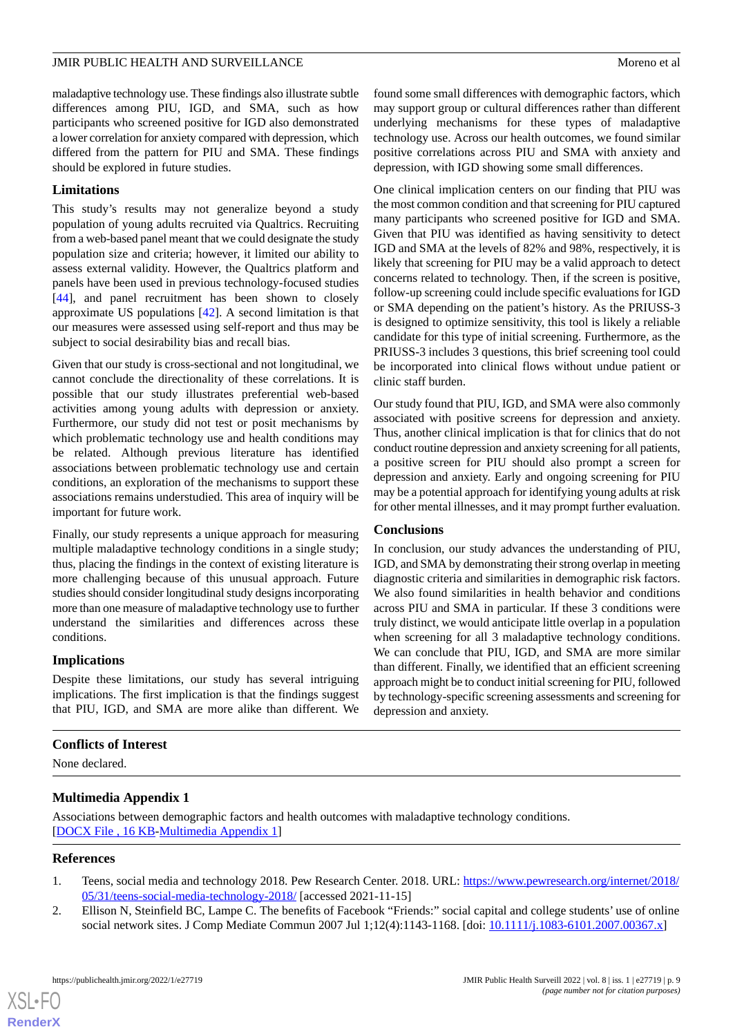maladaptive technology use. These findings also illustrate subtle differences among PIU, IGD, and SMA, such as how participants who screened positive for IGD also demonstrated a lower correlation for anxiety compared with depression, which differed from the pattern for PIU and SMA. These findings should be explored in future studies.

# **Limitations**

This study's results may not generalize beyond a study population of young adults recruited via Qualtrics. Recruiting from a web-based panel meant that we could designate the study population size and criteria; however, it limited our ability to assess external validity. However, the Qualtrics platform and panels have been used in previous technology-focused studies [[44\]](#page-10-14), and panel recruitment has been shown to closely approximate US populations [[42\]](#page-10-12). A second limitation is that our measures were assessed using self-report and thus may be subject to social desirability bias and recall bias.

Given that our study is cross-sectional and not longitudinal, we cannot conclude the directionality of these correlations. It is possible that our study illustrates preferential web-based activities among young adults with depression or anxiety. Furthermore, our study did not test or posit mechanisms by which problematic technology use and health conditions may be related. Although previous literature has identified associations between problematic technology use and certain conditions, an exploration of the mechanisms to support these associations remains understudied. This area of inquiry will be important for future work.

Finally, our study represents a unique approach for measuring multiple maladaptive technology conditions in a single study; thus, placing the findings in the context of existing literature is more challenging because of this unusual approach. Future studies should consider longitudinal study designs incorporating more than one measure of maladaptive technology use to further understand the similarities and differences across these conditions.

# **Implications**

Despite these limitations, our study has several intriguing implications. The first implication is that the findings suggest that PIU, IGD, and SMA are more alike than different. We

found some small differences with demographic factors, which may support group or cultural differences rather than different underlying mechanisms for these types of maladaptive technology use. Across our health outcomes, we found similar positive correlations across PIU and SMA with anxiety and depression, with IGD showing some small differences.

One clinical implication centers on our finding that PIU was the most common condition and that screening for PIU captured many participants who screened positive for IGD and SMA. Given that PIU was identified as having sensitivity to detect IGD and SMA at the levels of 82% and 98%, respectively, it is likely that screening for PIU may be a valid approach to detect concerns related to technology. Then, if the screen is positive, follow-up screening could include specific evaluations for IGD or SMA depending on the patient's history. As the PRIUSS-3 is designed to optimize sensitivity, this tool is likely a reliable candidate for this type of initial screening. Furthermore, as the PRIUSS-3 includes 3 questions, this brief screening tool could be incorporated into clinical flows without undue patient or clinic staff burden.

Our study found that PIU, IGD, and SMA were also commonly associated with positive screens for depression and anxiety. Thus, another clinical implication is that for clinics that do not conduct routine depression and anxiety screening for all patients, a positive screen for PIU should also prompt a screen for depression and anxiety. Early and ongoing screening for PIU may be a potential approach for identifying young adults at risk for other mental illnesses, and it may prompt further evaluation.

### **Conclusions**

In conclusion, our study advances the understanding of PIU, IGD, and SMA by demonstrating their strong overlap in meeting diagnostic criteria and similarities in demographic risk factors. We also found similarities in health behavior and conditions across PIU and SMA in particular. If these 3 conditions were truly distinct, we would anticipate little overlap in a population when screening for all 3 maladaptive technology conditions. We can conclude that PIU, IGD, and SMA are more similar than different. Finally, we identified that an efficient screening approach might be to conduct initial screening for PIU, followed by technology-specific screening assessments and screening for depression and anxiety.

# <span id="page-8-2"></span>**Conflicts of Interest**

None declared.

# <span id="page-8-0"></span>**Multimedia Appendix 1**

<span id="page-8-1"></span>Associations between demographic factors and health outcomes with maladaptive technology conditions. [[DOCX File , 16 KB](https://jmir.org/api/download?alt_name=publichealth_v8i1e27719_app1.docx&filename=f21cf6ba9535067e0572b4445a7b89a9.docx)-[Multimedia Appendix 1\]](https://jmir.org/api/download?alt_name=publichealth_v8i1e27719_app1.docx&filename=f21cf6ba9535067e0572b4445a7b89a9.docx)

### **References**

 $XS$  $\cdot$ FC **[RenderX](http://www.renderx.com/)**

- 1. Teens, social media and technology 2018. Pew Research Center. 2018. URL: [https://www.pewresearch.org/internet/2018/](https://www.pewresearch.org/internet/2018/05/31/teens-social-media-technology-2018/) [05/31/teens-social-media-technology-2018/](https://www.pewresearch.org/internet/2018/05/31/teens-social-media-technology-2018/) [accessed 2021-11-15]
- 2. Ellison N, Steinfield BC, Lampe C. The benefits of Facebook "Friends:" social capital and college students' use of online social network sites. J Comp Mediate Commun 2007 Jul 1;12(4):1143-1168. [doi: [10.1111/j.1083-6101.2007.00367.x\]](http://dx.doi.org/10.1111/j.1083-6101.2007.00367.x)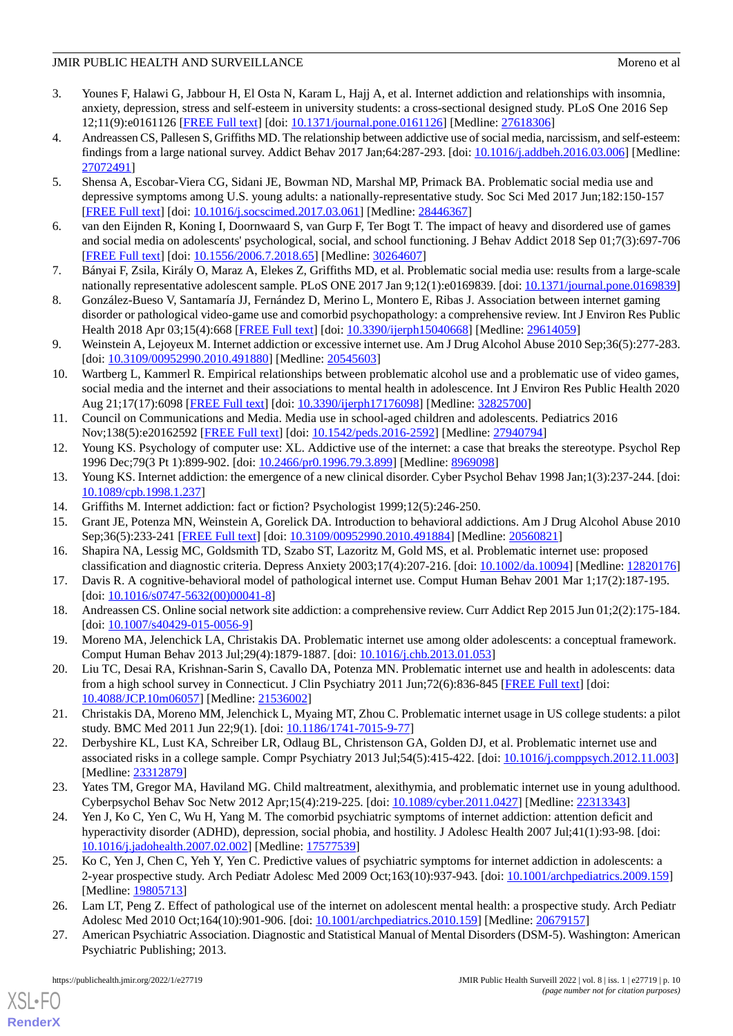- <span id="page-9-0"></span>3. Younes F, Halawi G, Jabbour H, El Osta N, Karam L, Hajj A, et al. Internet addiction and relationships with insomnia, anxiety, depression, stress and self-esteem in university students: a cross-sectional designed study. PLoS One 2016 Sep 12;11(9):e0161126 [\[FREE Full text](https://dx.plos.org/10.1371/journal.pone.0161126)] [doi: [10.1371/journal.pone.0161126\]](http://dx.doi.org/10.1371/journal.pone.0161126) [Medline: [27618306\]](http://www.ncbi.nlm.nih.gov/entrez/query.fcgi?cmd=Retrieve&db=PubMed&list_uids=27618306&dopt=Abstract)
- <span id="page-9-21"></span>4. Andreassen CS, Pallesen S, Griffiths MD. The relationship between addictive use of social media, narcissism, and self-esteem: findings from a large national survey. Addict Behav 2017 Jan;64:287-293. [doi: [10.1016/j.addbeh.2016.03.006\]](http://dx.doi.org/10.1016/j.addbeh.2016.03.006) [Medline: [27072491](http://www.ncbi.nlm.nih.gov/entrez/query.fcgi?cmd=Retrieve&db=PubMed&list_uids=27072491&dopt=Abstract)]
- <span id="page-9-20"></span>5. Shensa A, Escobar-Viera CG, Sidani JE, Bowman ND, Marshal MP, Primack BA. Problematic social media use and depressive symptoms among U.S. young adults: a nationally-representative study. Soc Sci Med 2017 Jun;182:150-157 [[FREE Full text](http://europepmc.org/abstract/MED/28446367)] [doi: [10.1016/j.socscimed.2017.03.061](http://dx.doi.org/10.1016/j.socscimed.2017.03.061)] [Medline: [28446367\]](http://www.ncbi.nlm.nih.gov/entrez/query.fcgi?cmd=Retrieve&db=PubMed&list_uids=28446367&dopt=Abstract)
- <span id="page-9-19"></span>6. van den Eijnden R, Koning I, Doornwaard S, van Gurp F, Ter Bogt T. The impact of heavy and disordered use of games and social media on adolescents' psychological, social, and school functioning. J Behav Addict 2018 Sep 01;7(3):697-706 [[FREE Full text](http://europepmc.org/abstract/MED/30264607)] [doi: [10.1556/2006.7.2018.65](http://dx.doi.org/10.1556/2006.7.2018.65)] [Medline: [30264607](http://www.ncbi.nlm.nih.gov/entrez/query.fcgi?cmd=Retrieve&db=PubMed&list_uids=30264607&dopt=Abstract)]
- <span id="page-9-18"></span>7. Bányai F, Zsila, Király O, Maraz A, Elekes Z, Griffiths MD, et al. Problematic social media use: results from a large-scale nationally representative adolescent sample. PLoS ONE 2017 Jan 9;12(1):e0169839. [doi: [10.1371/journal.pone.0169839](http://dx.doi.org/10.1371/journal.pone.0169839)]
- <span id="page-9-22"></span>8. González-Bueso V, Santamaría JJ, Fernández D, Merino L, Montero E, Ribas J. Association between internet gaming disorder or pathological video-game use and comorbid psychopathology: a comprehensive review. Int J Environ Res Public Health 2018 Apr 03;15(4):668 [\[FREE Full text\]](https://www.mdpi.com/resolver?pii=ijerph15040668) [doi: [10.3390/ijerph15040668](http://dx.doi.org/10.3390/ijerph15040668)] [Medline: [29614059](http://www.ncbi.nlm.nih.gov/entrez/query.fcgi?cmd=Retrieve&db=PubMed&list_uids=29614059&dopt=Abstract)]
- <span id="page-9-1"></span>9. Weinstein A, Lejoyeux M. Internet addiction or excessive internet use. Am J Drug Alcohol Abuse 2010 Sep;36(5):277-283. [doi: [10.3109/00952990.2010.491880](http://dx.doi.org/10.3109/00952990.2010.491880)] [Medline: [20545603\]](http://www.ncbi.nlm.nih.gov/entrez/query.fcgi?cmd=Retrieve&db=PubMed&list_uids=20545603&dopt=Abstract)
- <span id="page-9-2"></span>10. Wartberg L, Kammerl R. Empirical relationships between problematic alcohol use and a problematic use of video games, social media and the internet and their associations to mental health in adolescence. Int J Environ Res Public Health 2020 Aug 21;17(17):6098 [\[FREE Full text\]](https://www.mdpi.com/resolver?pii=ijerph17176098) [doi: [10.3390/ijerph17176098](http://dx.doi.org/10.3390/ijerph17176098)] [Medline: [32825700](http://www.ncbi.nlm.nih.gov/entrez/query.fcgi?cmd=Retrieve&db=PubMed&list_uids=32825700&dopt=Abstract)]
- <span id="page-9-4"></span><span id="page-9-3"></span>11. Council on Communications and Media. Media use in school-aged children and adolescents. Pediatrics 2016 Nov;138(5):e20162592 [\[FREE Full text](http://pediatrics.aappublications.org/cgi/pmidlookup?view=long&pmid=27940794)] [doi: [10.1542/peds.2016-2592](http://dx.doi.org/10.1542/peds.2016-2592)] [Medline: [27940794\]](http://www.ncbi.nlm.nih.gov/entrez/query.fcgi?cmd=Retrieve&db=PubMed&list_uids=27940794&dopt=Abstract)
- <span id="page-9-5"></span>12. Young KS. Psychology of computer use: XL. Addictive use of the internet: a case that breaks the stereotype. Psychol Rep 1996 Dec;79(3 Pt 1):899-902. [doi: [10.2466/pr0.1996.79.3.899](http://dx.doi.org/10.2466/pr0.1996.79.3.899)] [Medline: [8969098\]](http://www.ncbi.nlm.nih.gov/entrez/query.fcgi?cmd=Retrieve&db=PubMed&list_uids=8969098&dopt=Abstract)
- <span id="page-9-6"></span>13. Young KS. Internet addiction: the emergence of a new clinical disorder. Cyber Psychol Behav 1998 Jan;1(3):237-244. [doi: [10.1089/cpb.1998.1.237](http://dx.doi.org/10.1089/cpb.1998.1.237)]
- <span id="page-9-7"></span>14. Griffiths M. Internet addiction: fact or fiction? Psychologist 1999;12(5):246-250.
- <span id="page-9-8"></span>15. Grant JE, Potenza MN, Weinstein A, Gorelick DA. Introduction to behavioral addictions. Am J Drug Alcohol Abuse 2010 Sep;36(5):233-241 [[FREE Full text](http://europepmc.org/abstract/MED/20560821)] [doi: [10.3109/00952990.2010.491884\]](http://dx.doi.org/10.3109/00952990.2010.491884) [Medline: [20560821\]](http://www.ncbi.nlm.nih.gov/entrez/query.fcgi?cmd=Retrieve&db=PubMed&list_uids=20560821&dopt=Abstract)
- <span id="page-9-9"></span>16. Shapira NA, Lessig MC, Goldsmith TD, Szabo ST, Lazoritz M, Gold MS, et al. Problematic internet use: proposed classification and diagnostic criteria. Depress Anxiety 2003;17(4):207-216. [doi: [10.1002/da.10094](http://dx.doi.org/10.1002/da.10094)] [Medline: [12820176](http://www.ncbi.nlm.nih.gov/entrez/query.fcgi?cmd=Retrieve&db=PubMed&list_uids=12820176&dopt=Abstract)]
- <span id="page-9-10"></span>17. Davis R. A cognitive-behavioral model of pathological internet use. Comput Human Behav 2001 Mar 1;17(2):187-195. [doi: [10.1016/s0747-5632\(00\)00041-8](http://dx.doi.org/10.1016/s0747-5632(00)00041-8)]
- <span id="page-9-11"></span>18. Andreassen CS. Online social network site addiction: a comprehensive review. Curr Addict Rep 2015 Jun 01;2(2):175-184. [doi: [10.1007/s40429-015-0056-9](http://dx.doi.org/10.1007/s40429-015-0056-9)]
- <span id="page-9-12"></span>19. Moreno MA, Jelenchick LA, Christakis DA. Problematic internet use among older adolescents: a conceptual framework. Comput Human Behav 2013 Jul;29(4):1879-1887. [doi: [10.1016/j.chb.2013.01.053](http://dx.doi.org/10.1016/j.chb.2013.01.053)]
- <span id="page-9-14"></span>20. Liu TC, Desai RA, Krishnan-Sarin S, Cavallo DA, Potenza MN. Problematic internet use and health in adolescents: data from a high school survey in Connecticut. J Clin Psychiatry 2011 Jun;72(6):836-845 [\[FREE Full text\]](http://europepmc.org/abstract/MED/21536002) [doi: [10.4088/JCP.10m06057](http://dx.doi.org/10.4088/JCP.10m06057)] [Medline: [21536002\]](http://www.ncbi.nlm.nih.gov/entrez/query.fcgi?cmd=Retrieve&db=PubMed&list_uids=21536002&dopt=Abstract)
- <span id="page-9-13"></span>21. Christakis DA, Moreno MM, Jelenchick L, Myaing MT, Zhou C. Problematic internet usage in US college students: a pilot study. BMC Med 2011 Jun 22;9(1). [doi: [10.1186/1741-7015-9-77](http://dx.doi.org/10.1186/1741-7015-9-77)]
- <span id="page-9-15"></span>22. Derbyshire KL, Lust KA, Schreiber LR, Odlaug BL, Christenson GA, Golden DJ, et al. Problematic internet use and associated risks in a college sample. Compr Psychiatry 2013 Jul;54(5):415-422. [doi: [10.1016/j.comppsych.2012.11.003](http://dx.doi.org/10.1016/j.comppsych.2012.11.003)] [Medline: [23312879](http://www.ncbi.nlm.nih.gov/entrez/query.fcgi?cmd=Retrieve&db=PubMed&list_uids=23312879&dopt=Abstract)]
- 23. Yates TM, Gregor MA, Haviland MG. Child maltreatment, alexithymia, and problematic internet use in young adulthood. Cyberpsychol Behav Soc Netw 2012 Apr;15(4):219-225. [doi: [10.1089/cyber.2011.0427\]](http://dx.doi.org/10.1089/cyber.2011.0427) [Medline: [22313343\]](http://www.ncbi.nlm.nih.gov/entrez/query.fcgi?cmd=Retrieve&db=PubMed&list_uids=22313343&dopt=Abstract)
- <span id="page-9-16"></span>24. Yen J, Ko C, Yen C, Wu H, Yang M. The comorbid psychiatric symptoms of internet addiction: attention deficit and hyperactivity disorder (ADHD), depression, social phobia, and hostility. J Adolesc Health 2007 Jul;41(1):93-98. [doi: [10.1016/j.jadohealth.2007.02.002](http://dx.doi.org/10.1016/j.jadohealth.2007.02.002)] [Medline: [17577539](http://www.ncbi.nlm.nih.gov/entrez/query.fcgi?cmd=Retrieve&db=PubMed&list_uids=17577539&dopt=Abstract)]
- <span id="page-9-17"></span>25. Ko C, Yen J, Chen C, Yeh Y, Yen C. Predictive values of psychiatric symptoms for internet addiction in adolescents: a 2-year prospective study. Arch Pediatr Adolesc Med 2009 Oct;163(10):937-943. [doi: [10.1001/archpediatrics.2009.159\]](http://dx.doi.org/10.1001/archpediatrics.2009.159) [Medline: [19805713](http://www.ncbi.nlm.nih.gov/entrez/query.fcgi?cmd=Retrieve&db=PubMed&list_uids=19805713&dopt=Abstract)]
- 26. Lam LT, Peng Z. Effect of pathological use of the internet on adolescent mental health: a prospective study. Arch Pediatr Adolesc Med 2010 Oct;164(10):901-906. [doi: [10.1001/archpediatrics.2010.159\]](http://dx.doi.org/10.1001/archpediatrics.2010.159) [Medline: [20679157\]](http://www.ncbi.nlm.nih.gov/entrez/query.fcgi?cmd=Retrieve&db=PubMed&list_uids=20679157&dopt=Abstract)
- 27. American Psychiatric Association. Diagnostic and Statistical Manual of Mental Disorders (DSM-5). Washington: American Psychiatric Publishing; 2013.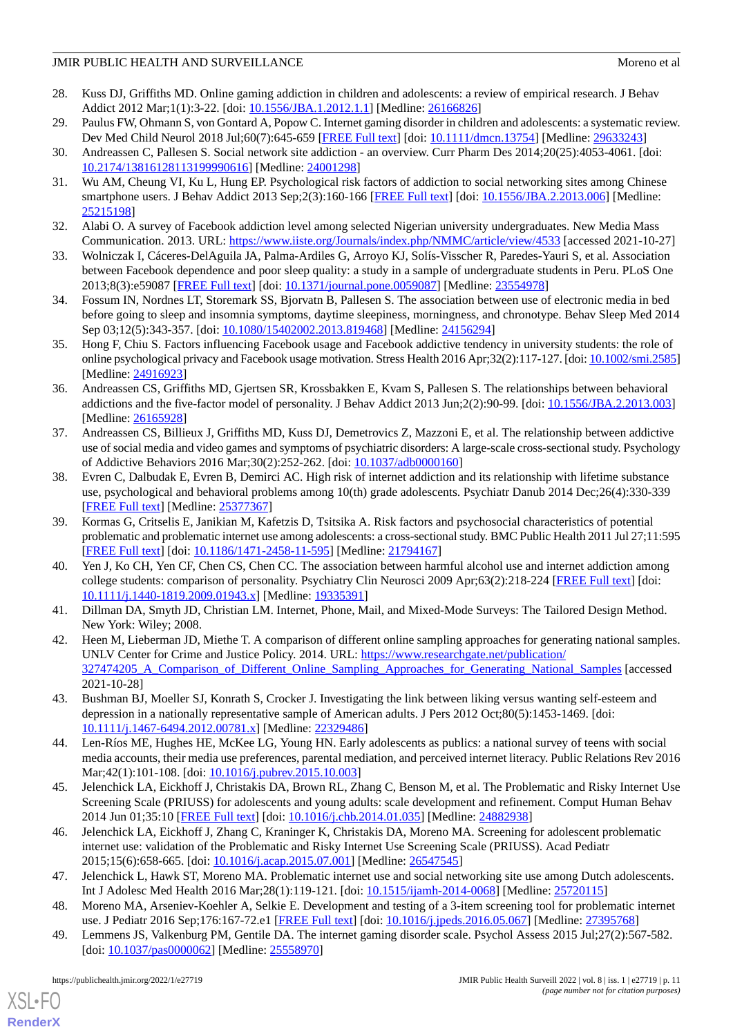- <span id="page-10-0"></span>28. Kuss DJ, Griffiths MD. Online gaming addiction in children and adolescents: a review of empirical research. J Behav Addict 2012 Mar;1(1):3-22. [doi: [10.1556/JBA.1.2012.1.1](http://dx.doi.org/10.1556/JBA.1.2012.1.1)] [Medline: [26166826\]](http://www.ncbi.nlm.nih.gov/entrez/query.fcgi?cmd=Retrieve&db=PubMed&list_uids=26166826&dopt=Abstract)
- <span id="page-10-2"></span><span id="page-10-1"></span>29. Paulus FW, Ohmann S, von Gontard A, Popow C. Internet gaming disorder in children and adolescents: a systematic review. Dev Med Child Neurol 2018 Jul;60(7):645-659 [[FREE Full text](https://doi.org/10.1111/dmcn.13754)] [doi: [10.1111/dmcn.13754](http://dx.doi.org/10.1111/dmcn.13754)] [Medline: [29633243](http://www.ncbi.nlm.nih.gov/entrez/query.fcgi?cmd=Retrieve&db=PubMed&list_uids=29633243&dopt=Abstract)]
- <span id="page-10-3"></span>30. Andreassen C, Pallesen S. Social network site addiction - an overview. Curr Pharm Des 2014;20(25):4053-4061. [doi: [10.2174/13816128113199990616\]](http://dx.doi.org/10.2174/13816128113199990616) [Medline: [24001298\]](http://www.ncbi.nlm.nih.gov/entrez/query.fcgi?cmd=Retrieve&db=PubMed&list_uids=24001298&dopt=Abstract)
- 31. Wu AM, Cheung VI, Ku L, Hung EP. Psychological risk factors of addiction to social networking sites among Chinese smartphone users. J Behav Addict 2013 Sep;2(3):160-166 [\[FREE Full text](http://europepmc.org/abstract/MED/25215198)] [doi: [10.1556/JBA.2.2013.006\]](http://dx.doi.org/10.1556/JBA.2.2013.006) [Medline: [25215198](http://www.ncbi.nlm.nih.gov/entrez/query.fcgi?cmd=Retrieve&db=PubMed&list_uids=25215198&dopt=Abstract)]
- <span id="page-10-5"></span><span id="page-10-4"></span>32. Alabi O. A survey of Facebook addiction level among selected Nigerian university undergraduates. New Media Mass Communication. 2013. URL:<https://www.iiste.org/Journals/index.php/NMMC/article/view/4533> [accessed 2021-10-27]
- <span id="page-10-6"></span>33. Wolniczak I, Cáceres-DelAguila JA, Palma-Ardiles G, Arroyo KJ, Solís-Visscher R, Paredes-Yauri S, et al. Association between Facebook dependence and poor sleep quality: a study in a sample of undergraduate students in Peru. PLoS One 2013;8(3):e59087 [\[FREE Full text](https://dx.plos.org/10.1371/journal.pone.0059087)] [doi: [10.1371/journal.pone.0059087\]](http://dx.doi.org/10.1371/journal.pone.0059087) [Medline: [23554978](http://www.ncbi.nlm.nih.gov/entrez/query.fcgi?cmd=Retrieve&db=PubMed&list_uids=23554978&dopt=Abstract)]
- <span id="page-10-7"></span>34. Fossum IN, Nordnes LT, Storemark SS, Bjorvatn B, Pallesen S. The association between use of electronic media in bed before going to sleep and insomnia symptoms, daytime sleepiness, morningness, and chronotype. Behav Sleep Med 2014 Sep 03;12(5):343-357. [doi: [10.1080/15402002.2013.819468](http://dx.doi.org/10.1080/15402002.2013.819468)] [Medline: [24156294](http://www.ncbi.nlm.nih.gov/entrez/query.fcgi?cmd=Retrieve&db=PubMed&list_uids=24156294&dopt=Abstract)]
- <span id="page-10-8"></span>35. Hong F, Chiu S. Factors influencing Facebook usage and Facebook addictive tendency in university students: the role of online psychological privacy and Facebook usage motivation. Stress Health 2016 Apr;32(2):117-127. [doi: [10.1002/smi.2585\]](http://dx.doi.org/10.1002/smi.2585) [Medline: [24916923](http://www.ncbi.nlm.nih.gov/entrez/query.fcgi?cmd=Retrieve&db=PubMed&list_uids=24916923&dopt=Abstract)]
- <span id="page-10-9"></span>36. Andreassen CS, Griffiths MD, Gjertsen SR, Krossbakken E, Kvam S, Pallesen S. The relationships between behavioral addictions and the five-factor model of personality. J Behav Addict 2013 Jun;2(2):90-99. [doi: [10.1556/JBA.2.2013.003](http://dx.doi.org/10.1556/JBA.2.2013.003)] [Medline: [26165928](http://www.ncbi.nlm.nih.gov/entrez/query.fcgi?cmd=Retrieve&db=PubMed&list_uids=26165928&dopt=Abstract)]
- 37. Andreassen CS, Billieux J, Griffiths MD, Kuss DJ, Demetrovics Z, Mazzoni E, et al. The relationship between addictive use of social media and video games and symptoms of psychiatric disorders: A large-scale cross-sectional study. Psychology of Addictive Behaviors 2016 Mar;30(2):252-262. [doi: [10.1037/adb0000160\]](http://dx.doi.org/10.1037/adb0000160)
- 38. Evren C, Dalbudak E, Evren B, Demirci AC. High risk of internet addiction and its relationship with lifetime substance use, psychological and behavioral problems among 10(th) grade adolescents. Psychiatr Danub 2014 Dec;26(4):330-339 [[FREE Full text](http://www.psychiatria-danubina.com/UserDocsImages/pdf/dnb_vol26_no4/dnb_vol26_no4_330.pdf)] [Medline: [25377367](http://www.ncbi.nlm.nih.gov/entrez/query.fcgi?cmd=Retrieve&db=PubMed&list_uids=25377367&dopt=Abstract)]
- <span id="page-10-10"></span>39. Kormas G, Critselis E, Janikian M, Kafetzis D, Tsitsika A. Risk factors and psychosocial characteristics of potential problematic and problematic internet use among adolescents: a cross-sectional study. BMC Public Health 2011 Jul 27;11:595 [[FREE Full text](https://bmcpublichealth.biomedcentral.com/articles/10.1186/1471-2458-11-595)] [doi: [10.1186/1471-2458-11-595\]](http://dx.doi.org/10.1186/1471-2458-11-595) [Medline: [21794167\]](http://www.ncbi.nlm.nih.gov/entrez/query.fcgi?cmd=Retrieve&db=PubMed&list_uids=21794167&dopt=Abstract)
- <span id="page-10-12"></span><span id="page-10-11"></span>40. Yen J, Ko CH, Yen CF, Chen CS, Chen CC. The association between harmful alcohol use and internet addiction among college students: comparison of personality. Psychiatry Clin Neurosci 2009 Apr;63(2):218-224 [\[FREE Full text](https://doi.org/10.1111/j.1440-1819.2009.01943.x)] [doi: [10.1111/j.1440-1819.2009.01943.x\]](http://dx.doi.org/10.1111/j.1440-1819.2009.01943.x) [Medline: [19335391\]](http://www.ncbi.nlm.nih.gov/entrez/query.fcgi?cmd=Retrieve&db=PubMed&list_uids=19335391&dopt=Abstract)
- 41. Dillman DA, Smyth JD, Christian LM. Internet, Phone, Mail, and Mixed-Mode Surveys: The Tailored Design Method. New York: Wiley; 2008.
- <span id="page-10-13"></span>42. Heen M, Lieberman JD, Miethe T. A comparison of different online sampling approaches for generating national samples. UNLV Center for Crime and Justice Policy. 2014. URL: [https://www.researchgate.net/publication/](https://www.researchgate.net/publication/327474205_A_Comparison_of_Different_Online_Sampling_Approaches_for_Generating_National_Samples) 327474205 A Comparison of Different Online Sampling Approaches for Generating National Samples [accessed 2021-10-28]
- <span id="page-10-15"></span><span id="page-10-14"></span>43. Bushman BJ, Moeller SJ, Konrath S, Crocker J. Investigating the link between liking versus wanting self-esteem and depression in a nationally representative sample of American adults. J Pers 2012 Oct;80(5):1453-1469. [doi: [10.1111/j.1467-6494.2012.00781.x\]](http://dx.doi.org/10.1111/j.1467-6494.2012.00781.x) [Medline: [22329486\]](http://www.ncbi.nlm.nih.gov/entrez/query.fcgi?cmd=Retrieve&db=PubMed&list_uids=22329486&dopt=Abstract)
- <span id="page-10-18"></span>44. Len-Ríos ME, Hughes HE, McKee LG, Young HN. Early adolescents as publics: a national survey of teens with social media accounts, their media use preferences, parental mediation, and perceived internet literacy. Public Relations Rev 2016 Mar; 42(1):101-108. [doi: 10.1016/j.pubrev. 2015.10.003]
- <span id="page-10-16"></span>45. Jelenchick LA, Eickhoff J, Christakis DA, Brown RL, Zhang C, Benson M, et al. The Problematic and Risky Internet Use Screening Scale (PRIUSS) for adolescents and young adults: scale development and refinement. Comput Human Behav 2014 Jun 01;35:10 [[FREE Full text](http://europepmc.org/abstract/MED/24882938)] [doi: [10.1016/j.chb.2014.01.035\]](http://dx.doi.org/10.1016/j.chb.2014.01.035) [Medline: [24882938](http://www.ncbi.nlm.nih.gov/entrez/query.fcgi?cmd=Retrieve&db=PubMed&list_uids=24882938&dopt=Abstract)]
- <span id="page-10-19"></span><span id="page-10-17"></span>46. Jelenchick LA, Eickhoff J, Zhang C, Kraninger K, Christakis DA, Moreno MA. Screening for adolescent problematic internet use: validation of the Problematic and Risky Internet Use Screening Scale (PRIUSS). Acad Pediatr 2015;15(6):658-665. [doi: [10.1016/j.acap.2015.07.001\]](http://dx.doi.org/10.1016/j.acap.2015.07.001) [Medline: [26547545\]](http://www.ncbi.nlm.nih.gov/entrez/query.fcgi?cmd=Retrieve&db=PubMed&list_uids=26547545&dopt=Abstract)
- 47. Jelenchick L, Hawk ST, Moreno MA. Problematic internet use and social networking site use among Dutch adolescents. Int J Adolesc Med Health 2016 Mar;28(1):119-121. [doi: [10.1515/ijamh-2014-0068\]](http://dx.doi.org/10.1515/ijamh-2014-0068) [Medline: [25720115](http://www.ncbi.nlm.nih.gov/entrez/query.fcgi?cmd=Retrieve&db=PubMed&list_uids=25720115&dopt=Abstract)]
- 48. Moreno MA, Arseniev-Koehler A, Selkie E. Development and testing of a 3-item screening tool for problematic internet use. J Pediatr 2016 Sep;176:167-72.e1 [\[FREE Full text\]](http://europepmc.org/abstract/MED/27395768) [doi: [10.1016/j.jpeds.2016.05.067](http://dx.doi.org/10.1016/j.jpeds.2016.05.067)] [Medline: [27395768\]](http://www.ncbi.nlm.nih.gov/entrez/query.fcgi?cmd=Retrieve&db=PubMed&list_uids=27395768&dopt=Abstract)
- 49. Lemmens JS, Valkenburg PM, Gentile DA. The internet gaming disorder scale. Psychol Assess 2015 Jul;27(2):567-582. [doi: [10.1037/pas0000062\]](http://dx.doi.org/10.1037/pas0000062) [Medline: [25558970](http://www.ncbi.nlm.nih.gov/entrez/query.fcgi?cmd=Retrieve&db=PubMed&list_uids=25558970&dopt=Abstract)]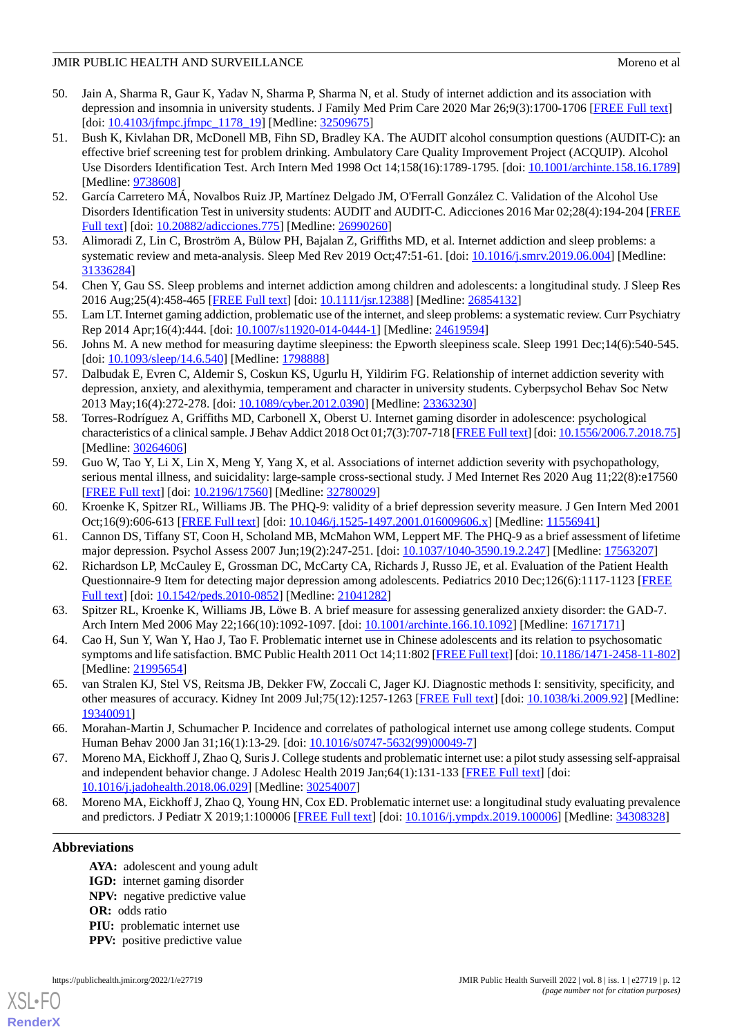- <span id="page-11-0"></span>50. Jain A, Sharma R, Gaur K, Yadav N, Sharma P, Sharma N, et al. Study of internet addiction and its association with depression and insomnia in university students. J Family Med Prim Care 2020 Mar 26;9(3):1700-1706 [\[FREE Full text\]](http://europepmc.org/abstract/MED/32509675) [doi: [10.4103/jfmpc.jfmpc\\_1178\\_19](http://dx.doi.org/10.4103/jfmpc.jfmpc_1178_19)] [Medline: [32509675](http://www.ncbi.nlm.nih.gov/entrez/query.fcgi?cmd=Retrieve&db=PubMed&list_uids=32509675&dopt=Abstract)]
- <span id="page-11-1"></span>51. Bush K, Kivlahan DR, McDonell MB, Fihn SD, Bradley KA. The AUDIT alcohol consumption questions (AUDIT-C): an effective brief screening test for problem drinking. Ambulatory Care Quality Improvement Project (ACQUIP). Alcohol Use Disorders Identification Test. Arch Intern Med 1998 Oct 14;158(16):1789-1795. [doi: [10.1001/archinte.158.16.1789](http://dx.doi.org/10.1001/archinte.158.16.1789)] [Medline: [9738608\]](http://www.ncbi.nlm.nih.gov/entrez/query.fcgi?cmd=Retrieve&db=PubMed&list_uids=9738608&dopt=Abstract)
- <span id="page-11-3"></span><span id="page-11-2"></span>52. García Carretero MÁ, Novalbos Ruiz JP, Martínez Delgado JM, O'Ferrall González C. Validation of the Alcohol Use Disorders Identification Test in university students: AUDIT and AUDIT-C. Adicciones 2016 Mar 02;28(4):194-204 [\[FREE](http://dx.doi.org/10.20882/adicciones.775) [Full text\]](http://dx.doi.org/10.20882/adicciones.775) [doi: [10.20882/adicciones.775](http://dx.doi.org/10.20882/adicciones.775)] [Medline: [26990260\]](http://www.ncbi.nlm.nih.gov/entrez/query.fcgi?cmd=Retrieve&db=PubMed&list_uids=26990260&dopt=Abstract)
- <span id="page-11-4"></span>53. Alimoradi Z, Lin C, Broström A, Bülow PH, Bajalan Z, Griffiths MD, et al. Internet addiction and sleep problems: a systematic review and meta-analysis. Sleep Med Rev 2019 Oct;47:51-61. [doi: [10.1016/j.smrv.2019.06.004\]](http://dx.doi.org/10.1016/j.smrv.2019.06.004) [Medline: [31336284](http://www.ncbi.nlm.nih.gov/entrez/query.fcgi?cmd=Retrieve&db=PubMed&list_uids=31336284&dopt=Abstract)]
- <span id="page-11-5"></span>54. Chen Y, Gau SS. Sleep problems and internet addiction among children and adolescents: a longitudinal study. J Sleep Res 2016 Aug;25(4):458-465 [[FREE Full text](https://doi.org/10.1111/jsr.12388)] [doi: [10.1111/jsr.12388](http://dx.doi.org/10.1111/jsr.12388)] [Medline: [26854132](http://www.ncbi.nlm.nih.gov/entrez/query.fcgi?cmd=Retrieve&db=PubMed&list_uids=26854132&dopt=Abstract)]
- <span id="page-11-6"></span>55. Lam LT. Internet gaming addiction, problematic use of the internet, and sleep problems: a systematic review. Curr Psychiatry Rep 2014 Apr;16(4):444. [doi: [10.1007/s11920-014-0444-1\]](http://dx.doi.org/10.1007/s11920-014-0444-1) [Medline: [24619594\]](http://www.ncbi.nlm.nih.gov/entrez/query.fcgi?cmd=Retrieve&db=PubMed&list_uids=24619594&dopt=Abstract)
- <span id="page-11-7"></span>56. Johns M. A new method for measuring daytime sleepiness: the Epworth sleepiness scale. Sleep 1991 Dec;14(6):540-545. [doi: [10.1093/sleep/14.6.540\]](http://dx.doi.org/10.1093/sleep/14.6.540) [Medline: [1798888](http://www.ncbi.nlm.nih.gov/entrez/query.fcgi?cmd=Retrieve&db=PubMed&list_uids=1798888&dopt=Abstract)]
- <span id="page-11-11"></span>57. Dalbudak E, Evren C, Aldemir S, Coskun KS, Ugurlu H, Yildirim FG. Relationship of internet addiction severity with depression, anxiety, and alexithymia, temperament and character in university students. Cyberpsychol Behav Soc Netw 2013 May;16(4):272-278. [doi: [10.1089/cyber.2012.0390](http://dx.doi.org/10.1089/cyber.2012.0390)] [Medline: [23363230\]](http://www.ncbi.nlm.nih.gov/entrez/query.fcgi?cmd=Retrieve&db=PubMed&list_uids=23363230&dopt=Abstract)
- <span id="page-11-8"></span>58. Torres-Rodríguez A, Griffiths MD, Carbonell X, Oberst U. Internet gaming disorder in adolescence: psychological characteristics of a clinical sample. J Behav Addict 2018 Oct 01;7(3):707-718 [\[FREE Full text\]](http://europepmc.org/abstract/MED/30264606) [doi: [10.1556/2006.7.2018.75\]](http://dx.doi.org/10.1556/2006.7.2018.75) [Medline: [30264606](http://www.ncbi.nlm.nih.gov/entrez/query.fcgi?cmd=Retrieve&db=PubMed&list_uids=30264606&dopt=Abstract)]
- <span id="page-11-9"></span>59. Guo W, Tao Y, Li X, Lin X, Meng Y, Yang X, et al. Associations of internet addiction severity with psychopathology, serious mental illness, and suicidality: large-sample cross-sectional study. J Med Internet Res 2020 Aug 11;22(8):e17560 [[FREE Full text](https://www.jmir.org/2020/8/e17560/)] [doi: [10.2196/17560\]](http://dx.doi.org/10.2196/17560) [Medline: [32780029\]](http://www.ncbi.nlm.nih.gov/entrez/query.fcgi?cmd=Retrieve&db=PubMed&list_uids=32780029&dopt=Abstract)
- <span id="page-11-10"></span>60. Kroenke K, Spitzer RL, Williams JB. The PHQ-9: validity of a brief depression severity measure. J Gen Intern Med 2001 Oct;16(9):606-613 [\[FREE Full text\]](https://onlinelibrary.wiley.com/resolve/openurl?genre=article&sid=nlm:pubmed&issn=0884-8734&date=2001&volume=16&issue=9&spage=606) [doi: [10.1046/j.1525-1497.2001.016009606.x](http://dx.doi.org/10.1046/j.1525-1497.2001.016009606.x)] [Medline: [11556941](http://www.ncbi.nlm.nih.gov/entrez/query.fcgi?cmd=Retrieve&db=PubMed&list_uids=11556941&dopt=Abstract)]
- <span id="page-11-12"></span>61. Cannon DS, Tiffany ST, Coon H, Scholand MB, McMahon WM, Leppert MF. The PHQ-9 as a brief assessment of lifetime major depression. Psychol Assess 2007 Jun;19(2):247-251. [doi: [10.1037/1040-3590.19.2.247\]](http://dx.doi.org/10.1037/1040-3590.19.2.247) [Medline: [17563207](http://www.ncbi.nlm.nih.gov/entrez/query.fcgi?cmd=Retrieve&db=PubMed&list_uids=17563207&dopt=Abstract)]
- <span id="page-11-13"></span>62. Richardson LP, McCauley E, Grossman DC, McCarty CA, Richards J, Russo JE, et al. Evaluation of the Patient Health Questionnaire-9 Item for detecting major depression among adolescents. Pediatrics 2010 Dec;126(6):1117-1123 [\[FREE](http://europepmc.org/abstract/MED/21041282) [Full text\]](http://europepmc.org/abstract/MED/21041282) [doi: [10.1542/peds.2010-0852\]](http://dx.doi.org/10.1542/peds.2010-0852) [Medline: [21041282](http://www.ncbi.nlm.nih.gov/entrez/query.fcgi?cmd=Retrieve&db=PubMed&list_uids=21041282&dopt=Abstract)]
- <span id="page-11-14"></span>63. Spitzer RL, Kroenke K, Williams JB, Löwe B. A brief measure for assessing generalized anxiety disorder: the GAD-7. Arch Intern Med 2006 May 22;166(10):1092-1097. [doi: [10.1001/archinte.166.10.1092](http://dx.doi.org/10.1001/archinte.166.10.1092)] [Medline: [16717171](http://www.ncbi.nlm.nih.gov/entrez/query.fcgi?cmd=Retrieve&db=PubMed&list_uids=16717171&dopt=Abstract)]
- <span id="page-11-15"></span>64. Cao H, Sun Y, Wan Y, Hao J, Tao F. Problematic internet use in Chinese adolescents and its relation to psychosomatic symptoms and life satisfaction. BMC Public Health 2011 Oct 14;11:802 [\[FREE Full text](https://bmcpublichealth.biomedcentral.com/articles/10.1186/1471-2458-11-802)] [doi: [10.1186/1471-2458-11-802](http://dx.doi.org/10.1186/1471-2458-11-802)] [Medline: [21995654](http://www.ncbi.nlm.nih.gov/entrez/query.fcgi?cmd=Retrieve&db=PubMed&list_uids=21995654&dopt=Abstract)]
- 65. van Stralen KJ, Stel VS, Reitsma JB, Dekker FW, Zoccali C, Jager KJ. Diagnostic methods I: sensitivity, specificity, and other measures of accuracy. Kidney Int 2009 Jul;75(12):1257-1263 [[FREE Full text](https://linkinghub.elsevier.com/retrieve/pii/S0085-2538(15)53652-1)] [doi: [10.1038/ki.2009.92](http://dx.doi.org/10.1038/ki.2009.92)] [Medline: [19340091](http://www.ncbi.nlm.nih.gov/entrez/query.fcgi?cmd=Retrieve&db=PubMed&list_uids=19340091&dopt=Abstract)]
- <span id="page-11-16"></span>66. Morahan-Martin J, Schumacher P. Incidence and correlates of pathological internet use among college students. Comput Human Behav 2000 Jan 31;16(1):13-29. [doi: [10.1016/s0747-5632\(99\)00049-7](http://dx.doi.org/10.1016/s0747-5632(99)00049-7)]
- 67. Moreno MA, Eickhoff J, Zhao Q, Suris J. College students and problematic internet use: a pilot study assessing self-appraisal and independent behavior change. J Adolesc Health 2019 Jan;64(1):131-133 [\[FREE Full text\]](http://europepmc.org/abstract/MED/30254007) [doi: [10.1016/j.jadohealth.2018.06.029](http://dx.doi.org/10.1016/j.jadohealth.2018.06.029)] [Medline: [30254007](http://www.ncbi.nlm.nih.gov/entrez/query.fcgi?cmd=Retrieve&db=PubMed&list_uids=30254007&dopt=Abstract)]
- 68. Moreno MA, Eickhoff J, Zhao Q, Young HN, Cox ED. Problematic internet use: a longitudinal study evaluating prevalence and predictors. J Pediatr X 2019;1:100006 [[FREE Full text](http://europepmc.org/abstract/MED/34308328)] [doi: [10.1016/j.ympdx.2019.100006\]](http://dx.doi.org/10.1016/j.ympdx.2019.100006) [Medline: [34308328](http://www.ncbi.nlm.nih.gov/entrez/query.fcgi?cmd=Retrieve&db=PubMed&list_uids=34308328&dopt=Abstract)]

# **Abbreviations**

- **AYA:** adolescent and young adult
- **IGD:** internet gaming disorder
- **NPV:** negative predictive value
- **OR:** odds ratio
- **PIU:** problematic internet use
- **PPV:** positive predictive value